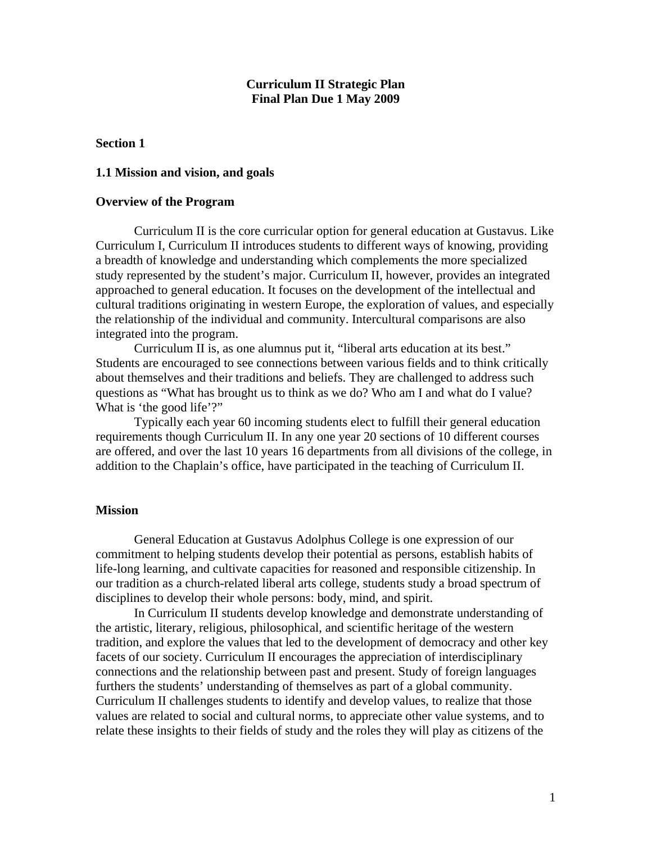### **Curriculum II Strategic Plan Final Plan Due 1 May 2009**

### **Section 1**

#### **1.1 Mission and vision, and goals**

#### **Overview of the Program**

Curriculum II is the core curricular option for general education at Gustavus. Like Curriculum I, Curriculum II introduces students to different ways of knowing, providing a breadth of knowledge and understanding which complements the more specialized study represented by the student's major. Curriculum II, however, provides an integrated approached to general education. It focuses on the development of the intellectual and cultural traditions originating in western Europe, the exploration of values, and especially the relationship of the individual and community. Intercultural comparisons are also integrated into the program.

Curriculum II is, as one alumnus put it, "liberal arts education at its best." Students are encouraged to see connections between various fields and to think critically about themselves and their traditions and beliefs. They are challenged to address such questions as "What has brought us to think as we do? Who am I and what do I value? What is 'the good life'?"

Typically each year 60 incoming students elect to fulfill their general education requirements though Curriculum II. In any one year 20 sections of 10 different courses are offered, and over the last 10 years 16 departments from all divisions of the college, in addition to the Chaplain's office, have participated in the teaching of Curriculum II.

### **Mission**

 General Education at Gustavus Adolphus College is one expression of our commitment to helping students develop their potential as persons, establish habits of life-long learning, and cultivate capacities for reasoned and responsible citizenship. In our tradition as a church-related liberal arts college, students study a broad spectrum of disciplines to develop their whole persons: body, mind, and spirit.

 In Curriculum II students develop knowledge and demonstrate understanding of the artistic, literary, religious, philosophical, and scientific heritage of the western tradition, and explore the values that led to the development of democracy and other key facets of our society. Curriculum II encourages the appreciation of interdisciplinary connections and the relationship between past and present. Study of foreign languages furthers the students' understanding of themselves as part of a global community. Curriculum II challenges students to identify and develop values, to realize that those values are related to social and cultural norms, to appreciate other value systems, and to relate these insights to their fields of study and the roles they will play as citizens of the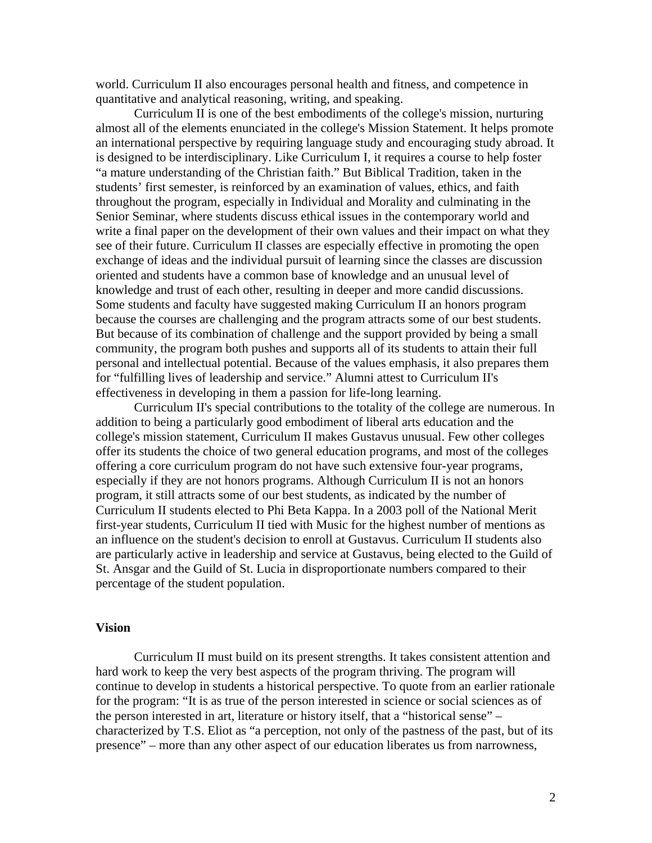world. Curriculum II also encourages personal health and fitness, and competence in quantitative and analytical reasoning, writing, and speaking.

Curriculum II is one of the best embodiments of the college's mission, nurturing almost all of the elements enunciated in the college's Mission Statement. It helps promote an international perspective by requiring language study and encouraging study abroad. It is designed to be interdisciplinary. Like Curriculum I, it requires a course to help foster "a mature understanding of the Christian faith." But Biblical Tradition, taken in the students' first semester, is reinforced by an examination of values, ethics, and faith throughout the program, especially in Individual and Morality and culminating in the Senior Seminar, where students discuss ethical issues in the contemporary world and write a final paper on the development of their own values and their impact on what they see of their future. Curriculum II classes are especially effective in promoting the open exchange of ideas and the individual pursuit of learning since the classes are discussion oriented and students have a common base of knowledge and an unusual level of knowledge and trust of each other, resulting in deeper and more candid discussions. Some students and faculty have suggested making Curriculum II an honors program because the courses are challenging and the program attracts some of our best students. But because of its combination of challenge and the support provided by being a small community, the program both pushes and supports all of its students to attain their full personal and intellectual potential. Because of the values emphasis, it also prepares them for "fulfilling lives of leadership and service." Alumni attest to Curriculum II's effectiveness in developing in them a passion for life-long learning.

 Curriculum II's special contributions to the totality of the college are numerous. In addition to being a particularly good embodiment of liberal arts education and the college's mission statement, Curriculum II makes Gustavus unusual. Few other colleges offer its students the choice of two general education programs, and most of the colleges offering a core curriculum program do not have such extensive four-year programs, especially if they are not honors programs. Although Curriculum II is not an honors program, it still attracts some of our best students, as indicated by the number of Curriculum II students elected to Phi Beta Kappa. In a 2003 poll of the National Merit first-year students, Curriculum II tied with Music for the highest number of mentions as an influence on the student's decision to enroll at Gustavus. Curriculum II students also are particularly active in leadership and service at Gustavus, being elected to the Guild of St. Ansgar and the Guild of St. Lucia in disproportionate numbers compared to their percentage of the student population.

### **Vision**

 Curriculum II must build on its present strengths. It takes consistent attention and hard work to keep the very best aspects of the program thriving. The program will continue to develop in students a historical perspective. To quote from an earlier rationale for the program: "It is as true of the person interested in science or social sciences as of the person interested in art, literature or history itself, that a "historical sense" – characterized by T.S. Eliot as "a perception, not only of the pastness of the past, but of its presence" – more than any other aspect of our education liberates us from narrowness,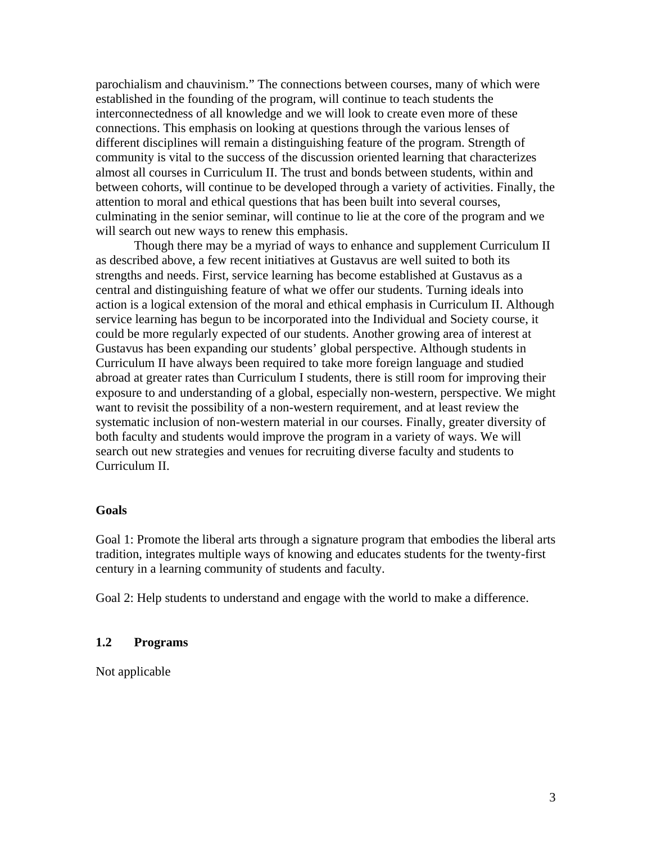parochialism and chauvinism." The connections between courses, many of which were established in the founding of the program, will continue to teach students the interconnectedness of all knowledge and we will look to create even more of these connections. This emphasis on looking at questions through the various lenses of different disciplines will remain a distinguishing feature of the program. Strength of community is vital to the success of the discussion oriented learning that characterizes almost all courses in Curriculum II. The trust and bonds between students, within and between cohorts, will continue to be developed through a variety of activities. Finally, the attention to moral and ethical questions that has been built into several courses, culminating in the senior seminar, will continue to lie at the core of the program and we will search out new ways to renew this emphasis.

 Though there may be a myriad of ways to enhance and supplement Curriculum II as described above, a few recent initiatives at Gustavus are well suited to both its strengths and needs. First, service learning has become established at Gustavus as a central and distinguishing feature of what we offer our students. Turning ideals into action is a logical extension of the moral and ethical emphasis in Curriculum II. Although service learning has begun to be incorporated into the Individual and Society course, it could be more regularly expected of our students. Another growing area of interest at Gustavus has been expanding our students' global perspective. Although students in Curriculum II have always been required to take more foreign language and studied abroad at greater rates than Curriculum I students, there is still room for improving their exposure to and understanding of a global, especially non-western, perspective. We might want to revisit the possibility of a non-western requirement, and at least review the systematic inclusion of non-western material in our courses. Finally, greater diversity of both faculty and students would improve the program in a variety of ways. We will search out new strategies and venues for recruiting diverse faculty and students to Curriculum II.

#### **Goals**

Goal 1: Promote the liberal arts through a signature program that embodies the liberal arts tradition, integrates multiple ways of knowing and educates students for the twenty-first century in a learning community of students and faculty.

Goal 2: Help students to understand and engage with the world to make a difference.

### **1.2 Programs**

Not applicable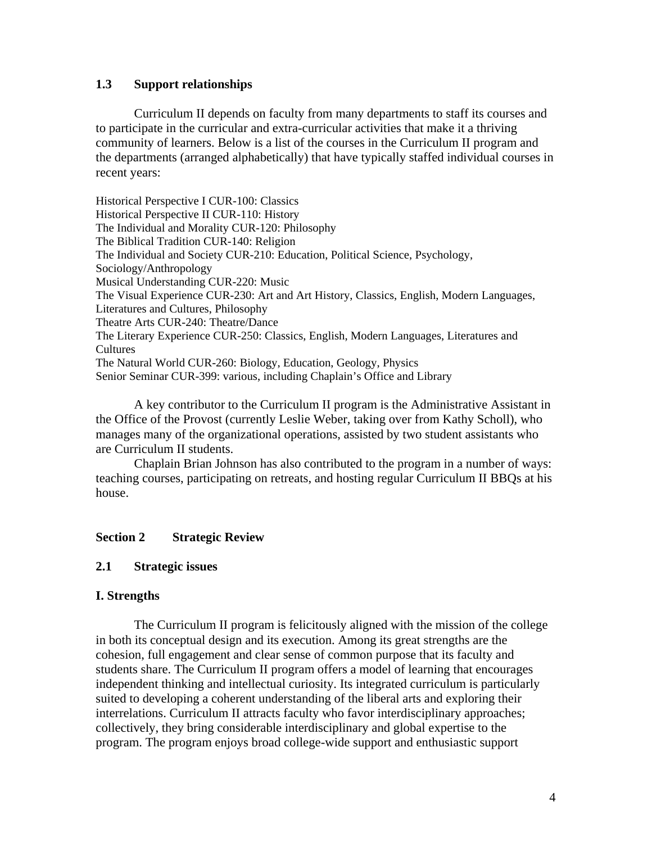## **1.3 Support relationships**

 Curriculum II depends on faculty from many departments to staff its courses and to participate in the curricular and extra-curricular activities that make it a thriving community of learners. Below is a list of the courses in the Curriculum II program and the departments (arranged alphabetically) that have typically staffed individual courses in recent years:

Historical Perspective I CUR-100: Classics Historical Perspective II CUR-110: History The Individual and Morality CUR-120: Philosophy The Biblical Tradition CUR-140: Religion The Individual and Society CUR-210: Education, Political Science, Psychology, Sociology/Anthropology Musical Understanding CUR-220: Music The Visual Experience CUR-230: Art and Art History, Classics, English, Modern Languages, Literatures and Cultures, Philosophy Theatre Arts CUR-240: Theatre/Dance The Literary Experience CUR-250: Classics, English, Modern Languages, Literatures and Cultures The Natural World CUR-260: Biology, Education, Geology, Physics Senior Seminar CUR-399: various, including Chaplain's Office and Library

 A key contributor to the Curriculum II program is the Administrative Assistant in the Office of the Provost (currently Leslie Weber, taking over from Kathy Scholl), who manages many of the organizational operations, assisted by two student assistants who are Curriculum II students.

 Chaplain Brian Johnson has also contributed to the program in a number of ways: teaching courses, participating on retreats, and hosting regular Curriculum II BBQs at his house.

### **Section 2 Strategic Review**

### **2.1 Strategic issues**

### **I. Strengths**

 The Curriculum II program is felicitously aligned with the mission of the college in both its conceptual design and its execution. Among its great strengths are the cohesion, full engagement and clear sense of common purpose that its faculty and students share. The Curriculum II program offers a model of learning that encourages independent thinking and intellectual curiosity. Its integrated curriculum is particularly suited to developing a coherent understanding of the liberal arts and exploring their interrelations. Curriculum II attracts faculty who favor interdisciplinary approaches; collectively, they bring considerable interdisciplinary and global expertise to the program. The program enjoys broad college-wide support and enthusiastic support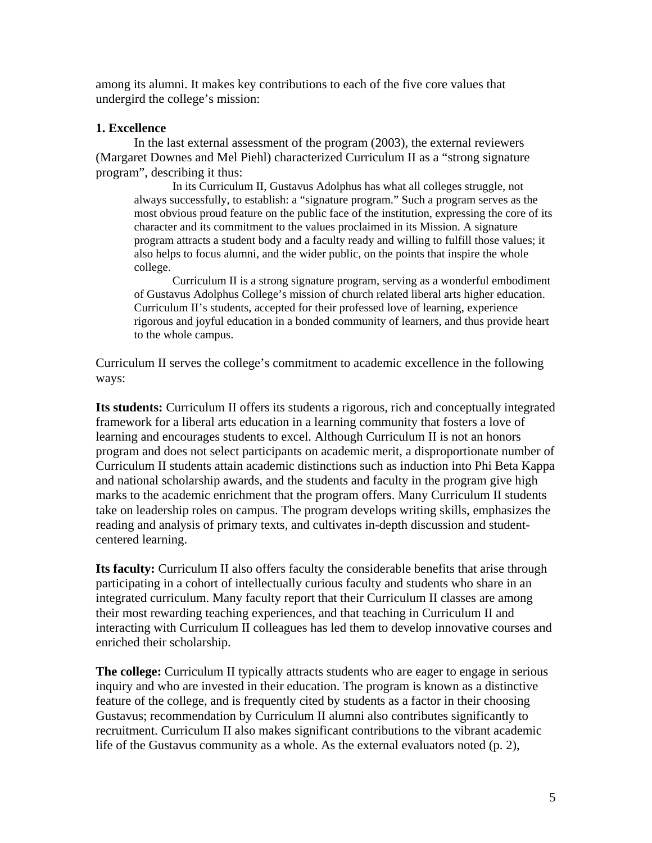among its alumni. It makes key contributions to each of the five core values that undergird the college's mission:

### **1. Excellence**

 In the last external assessment of the program (2003), the external reviewers (Margaret Downes and Mel Piehl) characterized Curriculum II as a "strong signature program", describing it thus:

 In its Curriculum II, Gustavus Adolphus has what all colleges struggle, not always successfully, to establish: a "signature program." Such a program serves as the most obvious proud feature on the public face of the institution, expressing the core of its character and its commitment to the values proclaimed in its Mission. A signature program attracts a student body and a faculty ready and willing to fulfill those values; it also helps to focus alumni, and the wider public, on the points that inspire the whole college.

 Curriculum II is a strong signature program, serving as a wonderful embodiment of Gustavus Adolphus College's mission of church related liberal arts higher education. Curriculum II's students, accepted for their professed love of learning, experience rigorous and joyful education in a bonded community of learners, and thus provide heart to the whole campus.

Curriculum II serves the college's commitment to academic excellence in the following ways:

**Its students:** Curriculum II offers its students a rigorous, rich and conceptually integrated framework for a liberal arts education in a learning community that fosters a love of learning and encourages students to excel. Although Curriculum II is not an honors program and does not select participants on academic merit, a disproportionate number of Curriculum II students attain academic distinctions such as induction into Phi Beta Kappa and national scholarship awards, and the students and faculty in the program give high marks to the academic enrichment that the program offers. Many Curriculum II students take on leadership roles on campus. The program develops writing skills, emphasizes the reading and analysis of primary texts, and cultivates in-depth discussion and studentcentered learning.

**Its faculty:** Curriculum II also offers faculty the considerable benefits that arise through participating in a cohort of intellectually curious faculty and students who share in an integrated curriculum. Many faculty report that their Curriculum II classes are among their most rewarding teaching experiences, and that teaching in Curriculum II and interacting with Curriculum II colleagues has led them to develop innovative courses and enriched their scholarship.

**The college:** Curriculum II typically attracts students who are eager to engage in serious inquiry and who are invested in their education. The program is known as a distinctive feature of the college, and is frequently cited by students as a factor in their choosing Gustavus; recommendation by Curriculum II alumni also contributes significantly to recruitment. Curriculum II also makes significant contributions to the vibrant academic life of the Gustavus community as a whole. As the external evaluators noted (p. 2),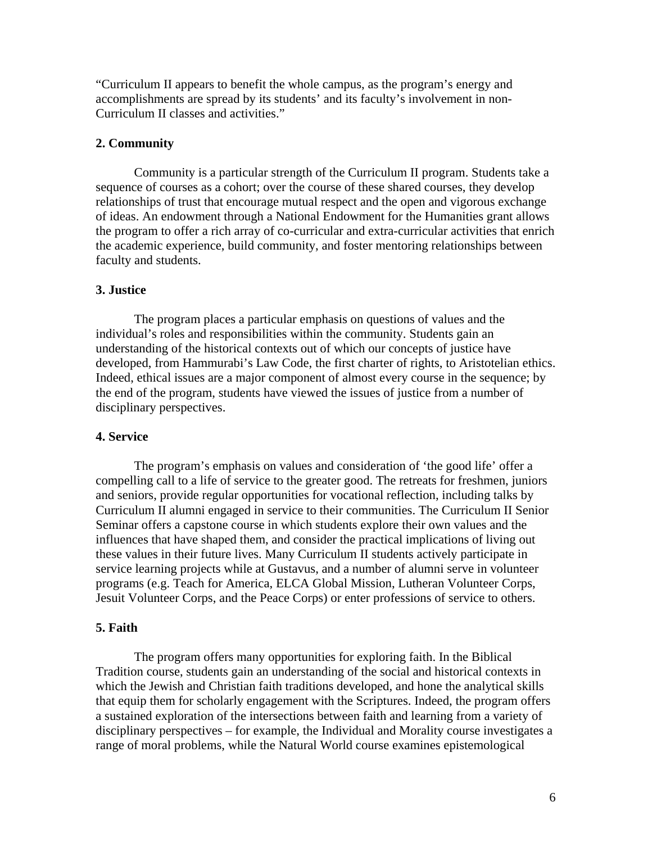"Curriculum II appears to benefit the whole campus, as the program's energy and accomplishments are spread by its students' and its faculty's involvement in non-Curriculum II classes and activities."

#### **2. Community**

 Community is a particular strength of the Curriculum II program. Students take a sequence of courses as a cohort; over the course of these shared courses, they develop relationships of trust that encourage mutual respect and the open and vigorous exchange of ideas. An endowment through a National Endowment for the Humanities grant allows the program to offer a rich array of co-curricular and extra-curricular activities that enrich the academic experience, build community, and foster mentoring relationships between faculty and students.

#### **3. Justice**

 The program places a particular emphasis on questions of values and the individual's roles and responsibilities within the community. Students gain an understanding of the historical contexts out of which our concepts of justice have developed, from Hammurabi's Law Code, the first charter of rights, to Aristotelian ethics. Indeed, ethical issues are a major component of almost every course in the sequence; by the end of the program, students have viewed the issues of justice from a number of disciplinary perspectives.

#### **4. Service**

 The program's emphasis on values and consideration of 'the good life' offer a compelling call to a life of service to the greater good. The retreats for freshmen, juniors and seniors, provide regular opportunities for vocational reflection, including talks by Curriculum II alumni engaged in service to their communities. The Curriculum II Senior Seminar offers a capstone course in which students explore their own values and the influences that have shaped them, and consider the practical implications of living out these values in their future lives. Many Curriculum II students actively participate in service learning projects while at Gustavus, and a number of alumni serve in volunteer programs (e.g. Teach for America, ELCA Global Mission, Lutheran Volunteer Corps, Jesuit Volunteer Corps, and the Peace Corps) or enter professions of service to others.

# **5. Faith**

 The program offers many opportunities for exploring faith. In the Biblical Tradition course, students gain an understanding of the social and historical contexts in which the Jewish and Christian faith traditions developed, and hone the analytical skills that equip them for scholarly engagement with the Scriptures. Indeed, the program offers a sustained exploration of the intersections between faith and learning from a variety of disciplinary perspectives – for example, the Individual and Morality course investigates a range of moral problems, while the Natural World course examines epistemological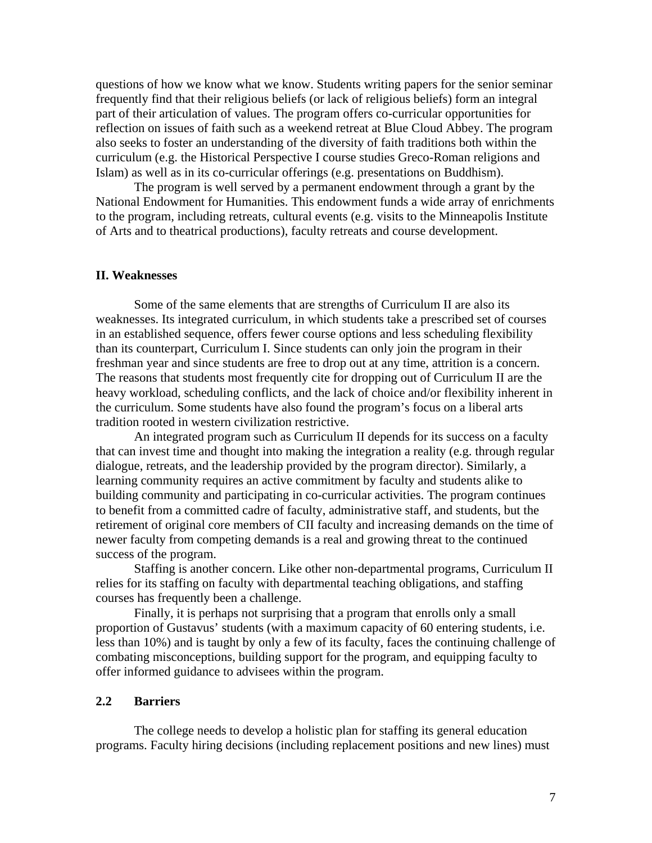questions of how we know what we know. Students writing papers for the senior seminar frequently find that their religious beliefs (or lack of religious beliefs) form an integral part of their articulation of values. The program offers co-curricular opportunities for reflection on issues of faith such as a weekend retreat at Blue Cloud Abbey. The program also seeks to foster an understanding of the diversity of faith traditions both within the curriculum (e.g. the Historical Perspective I course studies Greco-Roman religions and Islam) as well as in its co-curricular offerings (e.g. presentations on Buddhism).

The program is well served by a permanent endowment through a grant by the National Endowment for Humanities. This endowment funds a wide array of enrichments to the program, including retreats, cultural events (e.g. visits to the Minneapolis Institute of Arts and to theatrical productions), faculty retreats and course development.

#### **II. Weaknesses**

 Some of the same elements that are strengths of Curriculum II are also its weaknesses. Its integrated curriculum, in which students take a prescribed set of courses in an established sequence, offers fewer course options and less scheduling flexibility than its counterpart, Curriculum I. Since students can only join the program in their freshman year and since students are free to drop out at any time, attrition is a concern. The reasons that students most frequently cite for dropping out of Curriculum II are the heavy workload, scheduling conflicts, and the lack of choice and/or flexibility inherent in the curriculum. Some students have also found the program's focus on a liberal arts tradition rooted in western civilization restrictive.

 An integrated program such as Curriculum II depends for its success on a faculty that can invest time and thought into making the integration a reality (e.g. through regular dialogue, retreats, and the leadership provided by the program director). Similarly, a learning community requires an active commitment by faculty and students alike to building community and participating in co-curricular activities. The program continues to benefit from a committed cadre of faculty, administrative staff, and students, but the retirement of original core members of CII faculty and increasing demands on the time of newer faculty from competing demands is a real and growing threat to the continued success of the program.

 Staffing is another concern. Like other non-departmental programs, Curriculum II relies for its staffing on faculty with departmental teaching obligations, and staffing courses has frequently been a challenge.

 Finally, it is perhaps not surprising that a program that enrolls only a small proportion of Gustavus' students (with a maximum capacity of 60 entering students, i.e. less than 10%) and is taught by only a few of its faculty, faces the continuing challenge of combating misconceptions, building support for the program, and equipping faculty to offer informed guidance to advisees within the program.

### **2.2 Barriers**

 The college needs to develop a holistic plan for staffing its general education programs. Faculty hiring decisions (including replacement positions and new lines) must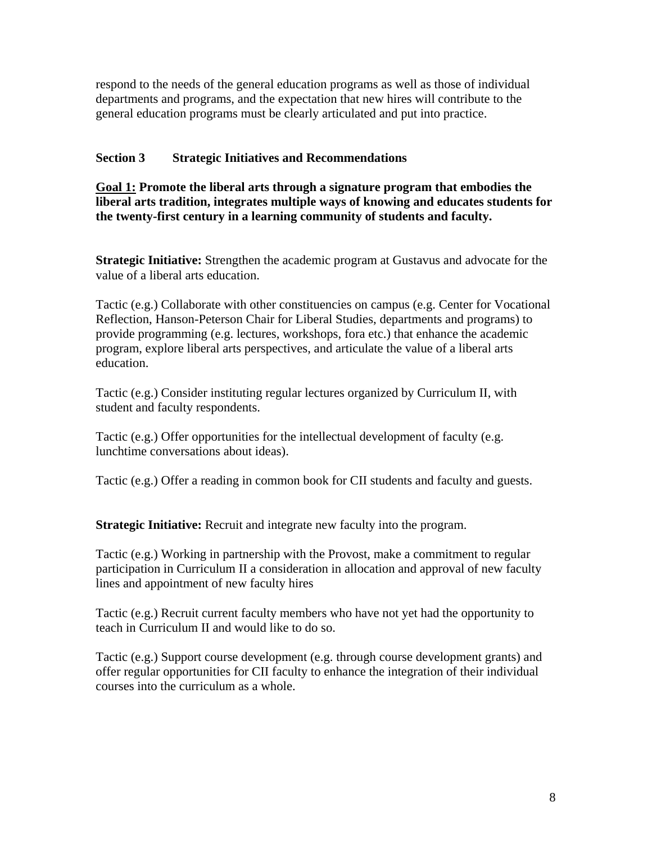respond to the needs of the general education programs as well as those of individual departments and programs, and the expectation that new hires will contribute to the general education programs must be clearly articulated and put into practice.

# **Section 3 Strategic Initiatives and Recommendations**

**Goal 1: Promote the liberal arts through a signature program that embodies the liberal arts tradition, integrates multiple ways of knowing and educates students for the twenty-first century in a learning community of students and faculty.** 

**Strategic Initiative:** Strengthen the academic program at Gustavus and advocate for the value of a liberal arts education.

Tactic (e.g.) Collaborate with other constituencies on campus (e.g. Center for Vocational Reflection, Hanson-Peterson Chair for Liberal Studies, departments and programs) to provide programming (e.g. lectures, workshops, fora etc.) that enhance the academic program, explore liberal arts perspectives, and articulate the value of a liberal arts education.

Tactic (e.g.) Consider instituting regular lectures organized by Curriculum II, with student and faculty respondents.

Tactic (e.g.) Offer opportunities for the intellectual development of faculty (e.g. lunchtime conversations about ideas).

Tactic (e.g.) Offer a reading in common book for CII students and faculty and guests.

**Strategic Initiative:** Recruit and integrate new faculty into the program.

Tactic (e.g.) Working in partnership with the Provost, make a commitment to regular participation in Curriculum II a consideration in allocation and approval of new faculty lines and appointment of new faculty hires

Tactic (e.g.) Recruit current faculty members who have not yet had the opportunity to teach in Curriculum II and would like to do so.

Tactic (e.g.) Support course development (e.g. through course development grants) and offer regular opportunities for CII faculty to enhance the integration of their individual courses into the curriculum as a whole.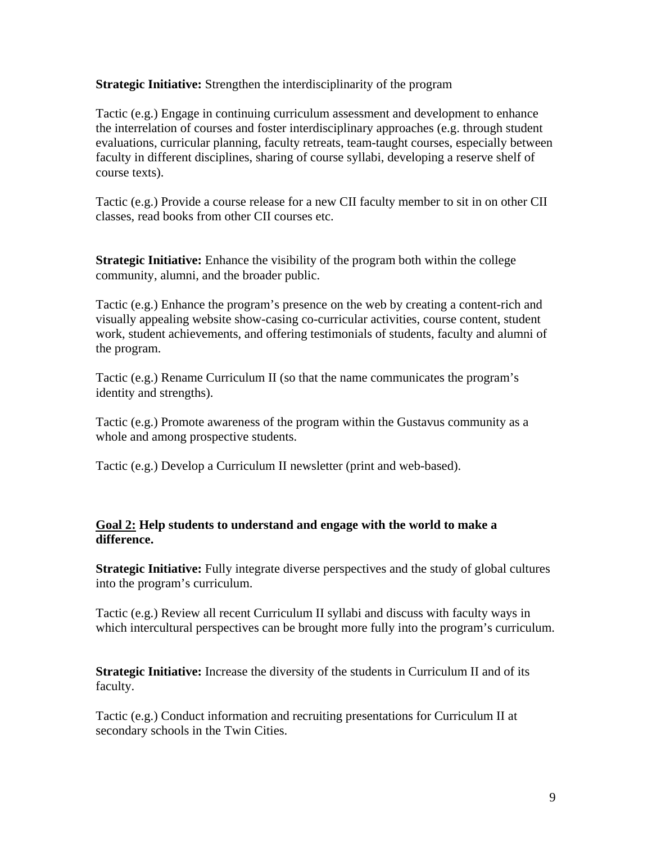**Strategic Initiative:** Strengthen the interdisciplinarity of the program

Tactic (e.g.) Engage in continuing curriculum assessment and development to enhance the interrelation of courses and foster interdisciplinary approaches (e.g. through student evaluations, curricular planning, faculty retreats, team-taught courses, especially between faculty in different disciplines, sharing of course syllabi, developing a reserve shelf of course texts).

Tactic (e.g.) Provide a course release for a new CII faculty member to sit in on other CII classes, read books from other CII courses etc.

**Strategic Initiative:** Enhance the visibility of the program both within the college community, alumni, and the broader public.

Tactic (e.g.) Enhance the program's presence on the web by creating a content-rich and visually appealing website show-casing co-curricular activities, course content, student work, student achievements, and offering testimonials of students, faculty and alumni of the program.

Tactic (e.g.) Rename Curriculum II (so that the name communicates the program's identity and strengths).

Tactic (e.g.) Promote awareness of the program within the Gustavus community as a whole and among prospective students.

Tactic (e.g.) Develop a Curriculum II newsletter (print and web-based).

# **Goal 2: Help students to understand and engage with the world to make a difference.**

**Strategic Initiative:** Fully integrate diverse perspectives and the study of global cultures into the program's curriculum.

Tactic (e.g.) Review all recent Curriculum II syllabi and discuss with faculty ways in which intercultural perspectives can be brought more fully into the program's curriculum.

**Strategic Initiative:** Increase the diversity of the students in Curriculum II and of its faculty.

Tactic (e.g.) Conduct information and recruiting presentations for Curriculum II at secondary schools in the Twin Cities.